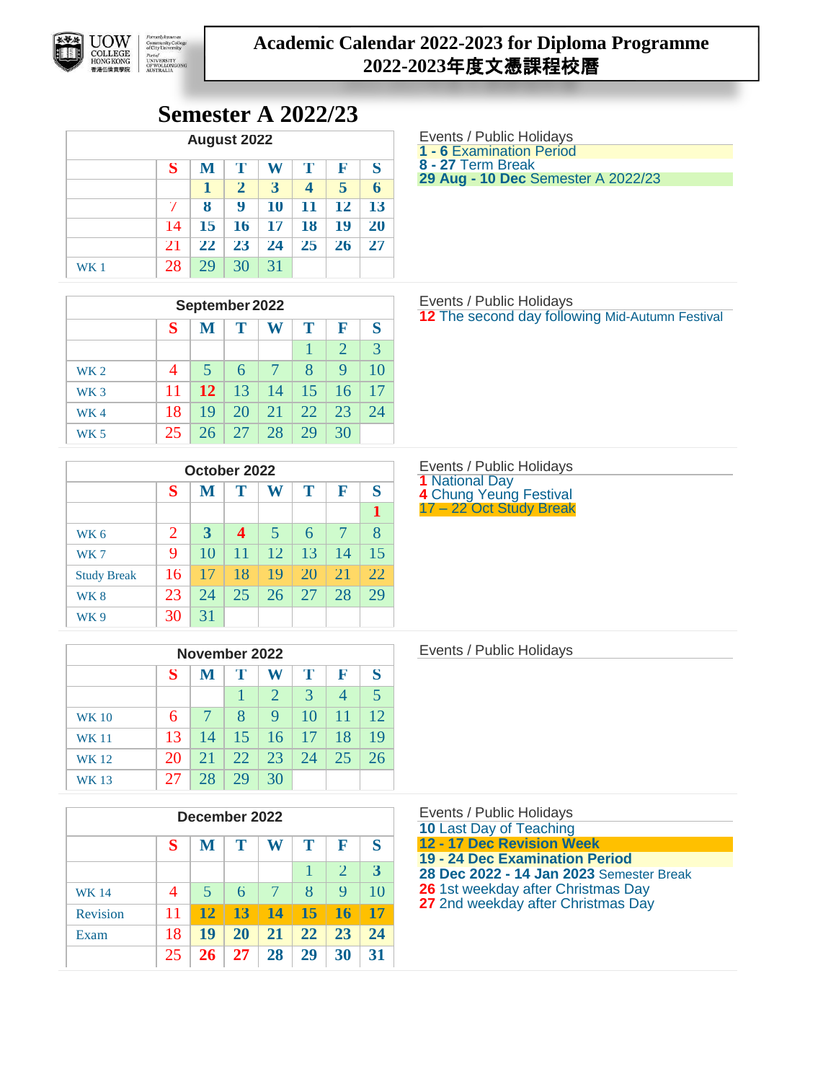

## **Academic Calendar 2022-2023 for Diploma Programme 2022-2023**年度文憑課程校曆

# **Semester A 2022/23**

| <b>August 2022</b> |                            |                  |              |    |    |           |                  |  |  |  |  |
|--------------------|----------------------------|------------------|--------------|----|----|-----------|------------------|--|--|--|--|
|                    | S<br>т<br>К<br>T<br>W<br>M |                  |              |    |    |           |                  |  |  |  |  |
|                    |                            | ı                | $\mathbf{Z}$ | 3  | 4  | 5         | $\boldsymbol{6}$ |  |  |  |  |
|                    | 7                          | $\boldsymbol{8}$ | 9            | 10 | 11 | 12        | 13               |  |  |  |  |
|                    | 14                         | 15               | <b>16</b>    | 17 | 18 | 19        | 20               |  |  |  |  |
|                    | 21                         | 22               | 23           | 24 | 25 | <b>26</b> | 27               |  |  |  |  |
| WK 1               | 28                         | 29               | 30           | 31 |    |           |                  |  |  |  |  |

| September 2022  |                |    |    |        |    |                |               |  |  |  |  |
|-----------------|----------------|----|----|--------|----|----------------|---------------|--|--|--|--|
|                 | S              | M  | Т  | W      | Т  | F              | S             |  |  |  |  |
|                 |                |    |    |        |    | $\overline{2}$ | $\mathcal{R}$ |  |  |  |  |
| <b>WK2</b>      | $\overline{4}$ | 5  | 6  | $\tau$ | 8  | 9              | 10            |  |  |  |  |
| WK <sub>3</sub> | 11             | 12 | 13 | 14     | 15 | 16             | 17            |  |  |  |  |
| WK4             | 18             | 19 | 20 | 21     | 22 | 23             | 24            |  |  |  |  |
| WK 5            | 25             | 26 | 27 | 28     | 29 | 30             |               |  |  |  |  |

| October 2022       |                             |                       |                  |                         |    |    |    |  |  |  |  |
|--------------------|-----------------------------|-----------------------|------------------|-------------------------|----|----|----|--|--|--|--|
|                    | S                           | Т<br>Т<br>F<br>W<br>M |                  |                         |    |    |    |  |  |  |  |
|                    |                             |                       |                  |                         |    |    |    |  |  |  |  |
| WK <sub>6</sub>    | $\mathcal{D}_{\mathcal{L}}$ | 3                     | $\boldsymbol{4}$ | $\overline{\mathbf{5}}$ | 6  | 7  | 8  |  |  |  |  |
| WK7                | 9                           | 10                    | 11               | 12                      | 13 | 14 | 15 |  |  |  |  |
| <b>Study Break</b> | 16                          | 17                    | 18               | 19                      | 20 | 21 | 22 |  |  |  |  |
| WK <sub>8</sub>    | 23                          | 24                    | 25               | 26                      | 27 | 28 | 29 |  |  |  |  |
| WK 9               | 30                          | 31                    |                  |                         |    |    |    |  |  |  |  |

| November 2022 |                            |        |     |                       |    |     |    |  |  |  |  |
|---------------|----------------------------|--------|-----|-----------------------|----|-----|----|--|--|--|--|
|               | Т<br>S<br>F<br>T<br>W<br>M |        |     |                       |    |     |    |  |  |  |  |
|               |                            |        |     | $\mathcal{D}_{\cdot}$ | 3  | 4   | 5  |  |  |  |  |
| <b>WK 10</b>  | 6                          | $\tau$ | 8   | 9                     | 10 | -11 | 12 |  |  |  |  |
| <b>WK 11</b>  | 13                         | 14     | 15  | 16                    | 17 | 18  | 19 |  |  |  |  |
| <b>WK 12</b>  | 20                         | 21     | 22. | 23                    | 24 | 25  | 26 |  |  |  |  |
| WK 13         | 27                         | 28     | 29  | 30                    |    |     |    |  |  |  |  |

| December 2022   |    |                       |           |           |           |           |    |  |  |  |  |
|-----------------|----|-----------------------|-----------|-----------|-----------|-----------|----|--|--|--|--|
|                 | S  | Т<br>F<br>T<br>W<br>M |           |           |           |           |    |  |  |  |  |
|                 |    |                       |           |           | 1         | 2         | 3  |  |  |  |  |
| <b>WK 14</b>    | 4  | 5                     | 6         | 7         | 8         | 9         | 10 |  |  |  |  |
| <b>Revision</b> | 11 | 12                    | 13        | -14       | <b>15</b> | <b>16</b> | 17 |  |  |  |  |
| Exam            | 18 | 19                    | <b>20</b> | <b>21</b> | 22        | 23        | 24 |  |  |  |  |
|                 | 25 | 26                    | 27        | 28        | 29        | 30        | 31 |  |  |  |  |

Events / Public Holidays **1 - 6** Examination Period

**8 - 27** Term Break

**29 Aug - 10 Dec** Semester A 2022/23

Events / Public Holidays **12** The second day following Mid-Autumn Festival

Events / Public Holidays **1** National Day **4** Chung Yeung Festival 17 – 22 Oct Study Break

Events / Public Holidays

Events / Public Holidays Last Day of Teaching **- 17 Dec Revision Week - 24 Dec Examination Period Dec 2022 - 14 Jan 2023** Semester Break 1st weekday after Christmas Day 2nd weekday after Christmas Day